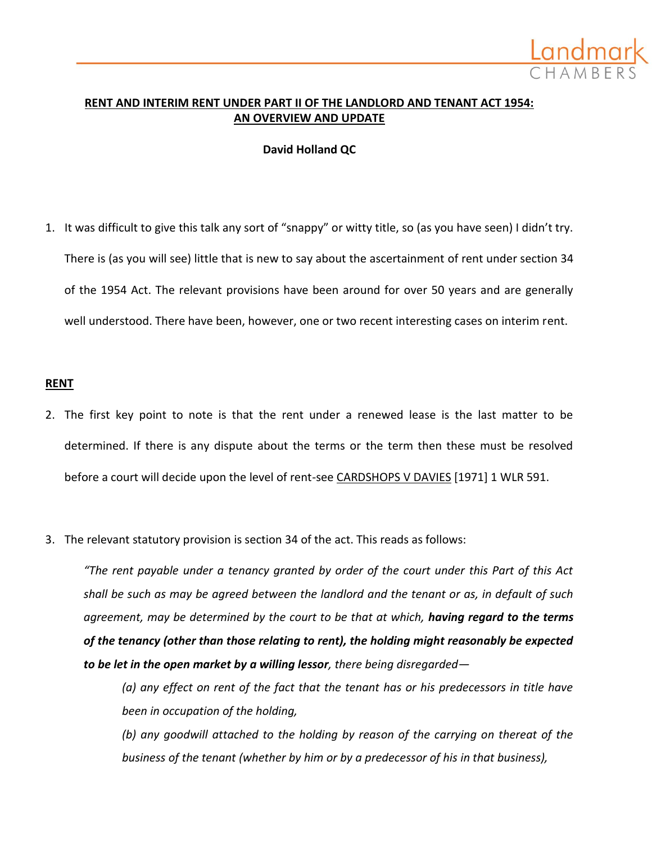

# **RENT AND INTERIM RENT UNDER PART II OF THE LANDLORD AND TENANT ACT 1954: AN OVERVIEW AND UPDATE**

**David Holland QC**

1. It was difficult to give this talk any sort of "snappy" or witty title, so (as you have seen) I didn't try. There is (as you will see) little that is new to say about the ascertainment of rent under section 34 of the 1954 Act. The relevant provisions have been around for over 50 years and are generally well understood. There have been, however, one or two recent interesting cases on interim rent.

#### **RENT**

- 2. The first key point to note is that the rent under a renewed lease is the last matter to be determined. If there is any dispute about the terms or the term then these must be resolved before a court will decide upon the level of rent-see CARDSHOPS V DAVIES [1971] 1 WLR 591.
- 3. The relevant statutory provision is section 34 of the act. This reads as follows:

*"The rent payable under a tenancy granted by order of the court under this Part of this Act shall be such as may be agreed between the landlord and the tenant or as, in default of such agreement, may be determined by the court to be that at which, having regard to the terms of the tenancy (other than those relating to rent), the holding might reasonably be expected to be let in the open market by a willing lessor, there being disregarded—*

*(a) any effect on rent of the fact that the tenant has or his predecessors in title have been in occupation of the holding,*

*(b) any goodwill attached to the holding by reason of the carrying on thereat of the business of the tenant (whether by him or by a predecessor of his in that business),*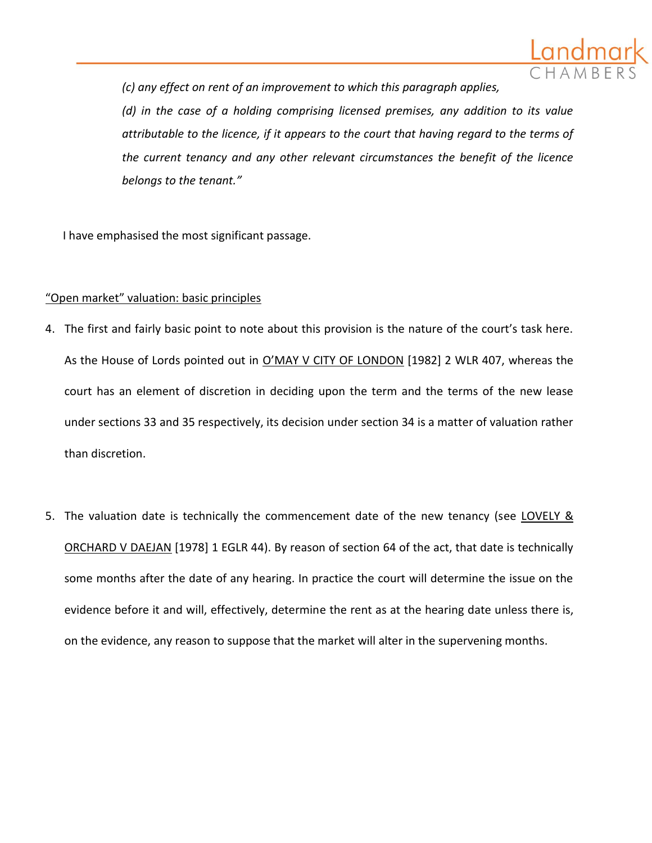

*(c) any effect on rent of an improvement to which this paragraph applies, (d) in the case of a holding comprising licensed premises, any addition to its value attributable to the licence, if it appears to the court that having regard to the terms of the current tenancy and any other relevant circumstances the benefit of the licence belongs to the tenant."*

I have emphasised the most significant passage.

# "Open market" valuation: basic principles

- 4. The first and fairly basic point to note about this provision is the nature of the court's task here. As the House of Lords pointed out in O'MAY V CITY OF LONDON [1982] 2 WLR 407, whereas the court has an element of discretion in deciding upon the term and the terms of the new lease under sections 33 and 35 respectively, its decision under section 34 is a matter of valuation rather than discretion.
- 5. The valuation date is technically the commencement date of the new tenancy (see LOVELY & ORCHARD V DAEJAN [1978] 1 EGLR 44). By reason of section 64 of the act, that date is technically some months after the date of any hearing. In practice the court will determine the issue on the evidence before it and will, effectively, determine the rent as at the hearing date unless there is, on the evidence, any reason to suppose that the market will alter in the supervening months.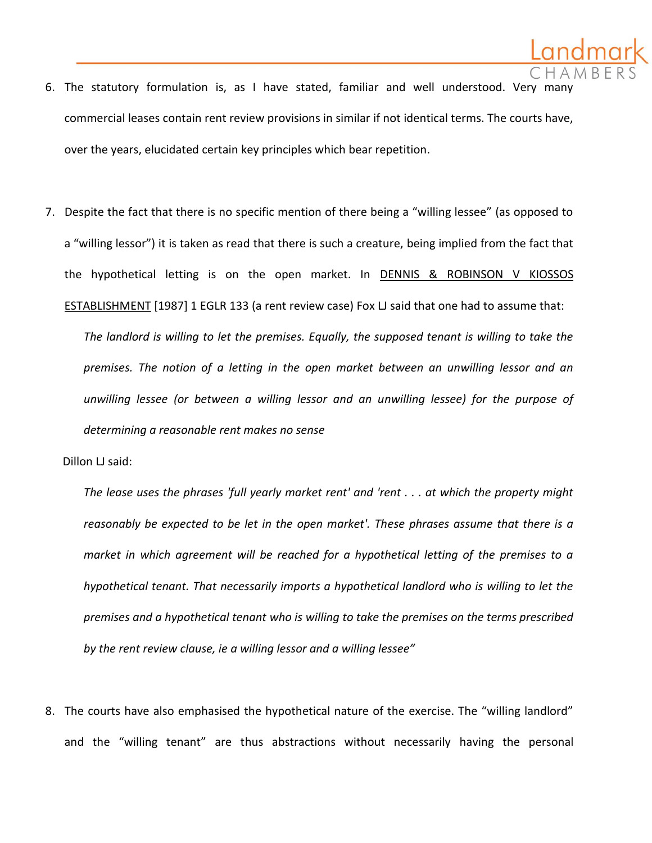

- 6. The statutory formulation is, as I have stated, familiar and well understood. Very many commercial leases contain rent review provisions in similar if not identical terms. The courts have, over the years, elucidated certain key principles which bear repetition.
- 7. Despite the fact that there is no specific mention of there being a "willing lessee" (as opposed to a "willing lessor") it is taken as read that there is such a creature, being implied from the fact that the hypothetical letting is on the open market. In DENNIS & ROBINSON V KIOSSOS ESTABLISHMENT [1987] 1 EGLR 133 (a rent review case) Fox LJ said that one had to assume that:

*The landlord is willing to let the premises. Equally, the supposed tenant is willing to take the premises. The notion of a letting in the open market between an unwilling lessor and an unwilling lessee (or between a willing lessor and an unwilling lessee) for the purpose of determining a reasonable rent makes no sense*

Dillon LJ said:

*The lease uses the phrases 'full yearly market rent' and 'rent . . . at which the property might reasonably be expected to be let in the open market'. These phrases assume that there is a market in which agreement will be reached for a hypothetical letting of the premises to a hypothetical tenant. That necessarily imports a hypothetical landlord who is willing to let the premises and a hypothetical tenant who is willing to take the premises on the terms prescribed by the rent review clause, ie a willing lessor and a willing lessee"*

8. The courts have also emphasised the hypothetical nature of the exercise. The "willing landlord" and the "willing tenant" are thus abstractions without necessarily having the personal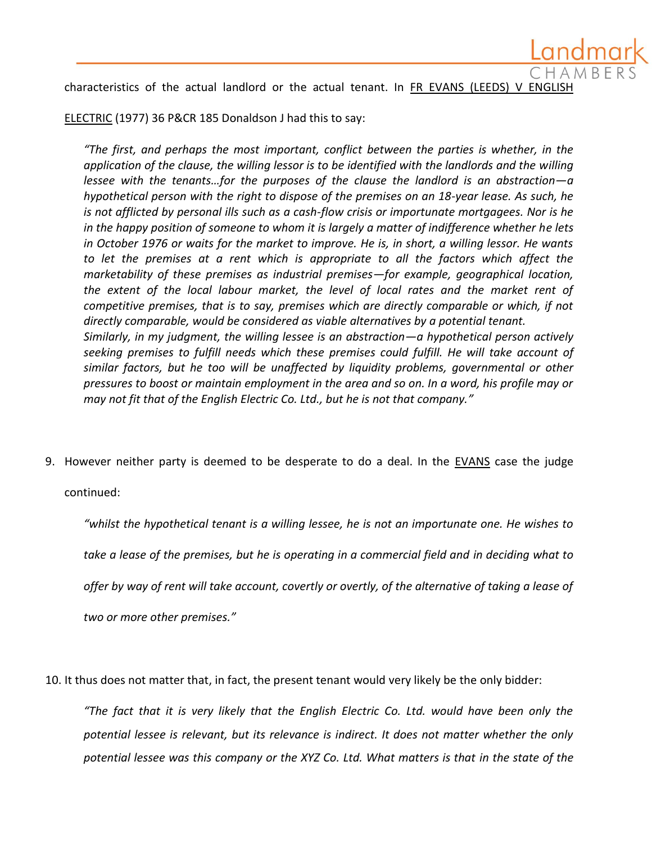characteristics of the actual landlord or the actual tenant. In FR EVANS (LEEDS) V ENGLISH

ELECTRIC (1977) 36 P&CR 185 Donaldson J had this to say:

*"The first, and perhaps the most important, conflict between the parties is whether, in the application of the clause, the willing lessor is to be identified with the landlords and the willing lessee with the tenants…for the purposes of the clause the landlord is an abstraction—a hypothetical person with the right to dispose of the premises on an 18-year lease. As such, he is not afflicted by personal ills such as a cash-flow crisis or importunate mortgagees. Nor is he in the happy position of someone to whom it is largely a matter of indifference whether he lets in October 1976 or waits for the market to improve. He is, in short, a willing lessor. He wants*  to let the premises at a rent which is appropriate to all the factors which affect the *marketability of these premises as industrial premises—for example, geographical location, the extent of the local labour market, the level of local rates and the market rent of competitive premises, that is to say, premises which are directly comparable or which, if not directly comparable, would be considered as viable alternatives by a potential tenant. Similarly, in my judgment, the willing lessee is an abstraction—a hypothetical person actively seeking premises to fulfill needs which these premises could fulfill. He will take account of similar factors, but he too will be unaffected by liquidity problems, governmental or other pressures to boost or maintain employment in the area and so on. In a word, his profile may or may not fit that of the English Electric Co. Ltd., but he is not that company."*

9. However neither party is deemed to be desperate to do a deal. In the EVANS case the judge

continued:

*"whilst the hypothetical tenant is a willing lessee, he is not an importunate one. He wishes to take a lease of the premises, but he is operating in a commercial field and in deciding what to offer by way of rent will take account, covertly or overtly, of the alternative of taking a lease of two or more other premises."*

10. It thus does not matter that, in fact, the present tenant would very likely be the only bidder:

*"The fact that it is very likely that the English Electric Co. Ltd. would have been only the potential lessee is relevant, but its relevance is indirect. It does not matter whether the only potential lessee was this company or the XYZ Co. Ltd. What matters is that in the state of the*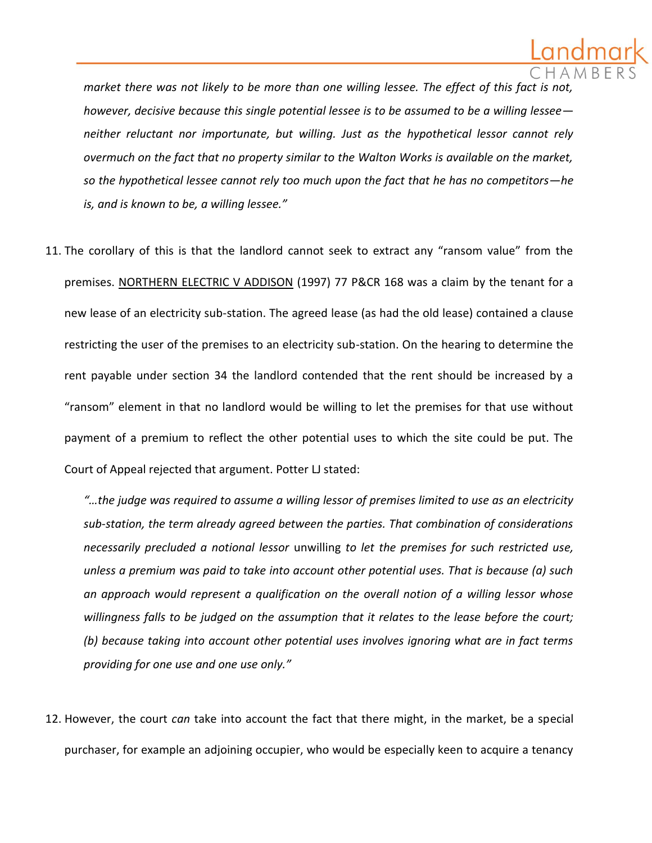

*market there was not likely to be more than one willing lessee. The effect of this fact is not however, decisive because this single potential lessee is to be assumed to be a willing lessee neither reluctant nor importunate, but willing. Just as the hypothetical lessor cannot rely overmuch on the fact that no property similar to the Walton Works is available on the market, so the hypothetical lessee cannot rely too much upon the fact that he has no competitors—he is, and is known to be, a willing lessee."*

11. The corollary of this is that the landlord cannot seek to extract any "ransom value" from the premises. NORTHERN ELECTRIC V ADDISON (1997) 77 P&CR 168 was a claim by the tenant for a new lease of an electricity sub-station. The agreed lease (as had the old lease) contained a clause restricting the user of the premises to an electricity sub-station. On the hearing to determine the rent payable under section 34 the landlord contended that the rent should be increased by a "ransom" element in that no landlord would be willing to let the premises for that use without payment of a premium to reflect the other potential uses to which the site could be put. The Court of Appeal rejected that argument. Potter LJ stated:

*"…the judge was required to assume a willing lessor of premises limited to use as an electricity sub-station, the term already agreed between the parties. That combination of considerations necessarily precluded a notional lessor* unwilling *to let the premises for such restricted use, unless a premium was paid to take into account other potential uses. That is because (a) such an approach would represent a qualification on the overall notion of a willing lessor whose willingness falls to be judged on the assumption that it relates to the lease before the court; (b) because taking into account other potential uses involves ignoring what are in fact terms providing for one use and one use only."*

12. However, the court *can* take into account the fact that there might, in the market, be a special purchaser, for example an adjoining occupier, who would be especially keen to acquire a tenancy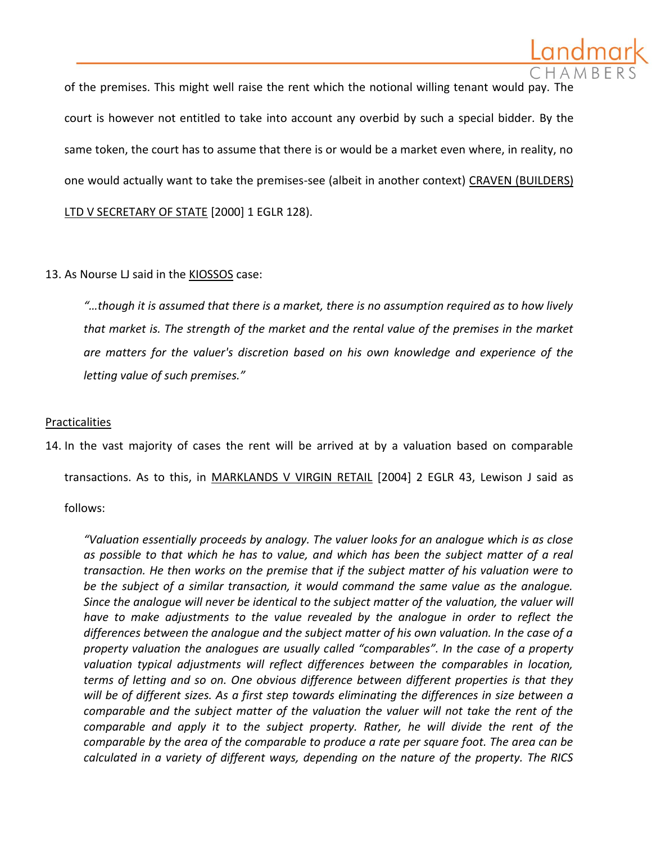of the premises. This might well raise the rent which the notional willing tenant would pay. The court is however not entitled to take into account any overbid by such a special bidder*.* By the same token, the court has to assume that there is or would be a market even where, in reality, no one would actually want to take the premises-see (albeit in another context) CRAVEN (BUILDERS) LTD V SECRETARY OF STATE [2000] 1 EGLR 128).

# 13. As Nourse LJ said in the **KIOSSOS** case:

*"…though it is assumed that there is a market, there is no assumption required as to how lively that market is. The strength of the market and the rental value of the premises in the market are matters for the valuer's discretion based on his own knowledge and experience of the letting value of such premises."* 

# Practicalities

14. In the vast majority of cases the rent will be arrived at by a valuation based on comparable transactions. As to this, in MARKLANDS V VIRGIN RETAIL [2004] 2 EGLR 43, Lewison J said as

follows:

*"Valuation essentially proceeds by analogy. The valuer looks for an analogue which is as close as possible to that which he has to value, and which has been the subject matter of a real transaction. He then works on the premise that if the subject matter of his valuation were to be the subject of a similar transaction, it would command the same value as the analogue. Since the analogue will never be identical to the subject matter of the valuation, the valuer will have to make adjustments to the value revealed by the analogue in order to reflect the differences between the analogue and the subject matter of his own valuation. In the case of a property valuation the analogues are usually called "comparables". In the case of a property valuation typical adjustments will reflect differences between the comparables in location, terms of letting and so on. One obvious difference between different properties is that they will be of different sizes. As a first step towards eliminating the differences in size between a comparable and the subject matter of the valuation the valuer will not take the rent of the comparable and apply it to the subject property. Rather, he will divide the rent of the comparable by the area of the comparable to produce a rate per square foot. The area can be calculated in a variety of different ways, depending on the nature of the property. The RICS*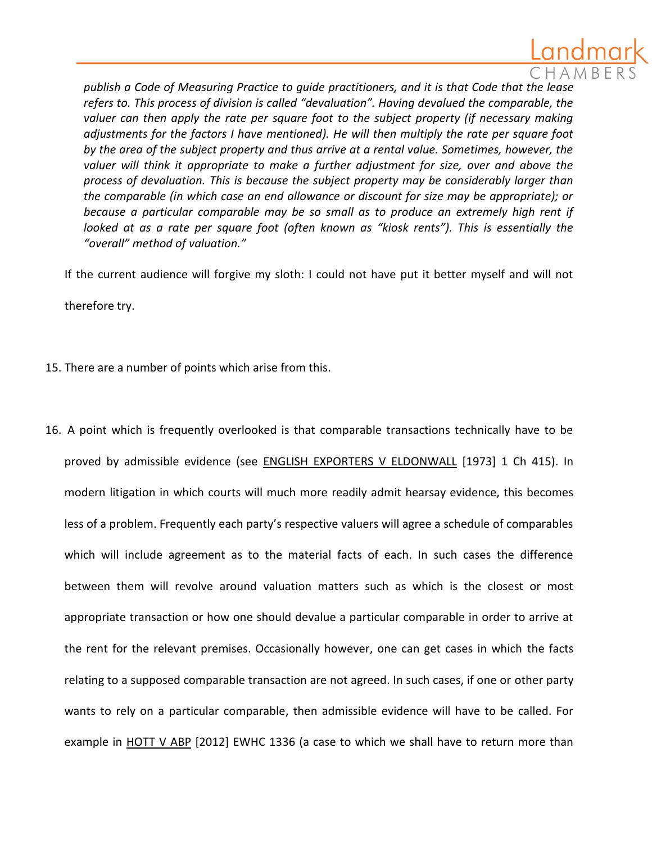

*publish a Code of Measuring Practice to guide practitioners, and it is that Code that the lease refers to. This process of division is called "devaluation". Having devalued the comparable, the valuer can then apply the rate per square foot to the subject property (if necessary making adjustments for the factors I have mentioned). He will then multiply the rate per square foot by the area of the subject property and thus arrive at a rental value. Sometimes, however, the valuer will think it appropriate to make a further adjustment for size, over and above the process of devaluation. This is because the subject property may be considerably larger than the comparable (in which case an end allowance or discount for size may be appropriate); or because a particular comparable may be so small as to produce an extremely high rent if looked at as a rate per square foot (often known as "kiosk rents"). This is essentially the "overall" method of valuation."*

If the current audience will forgive my sloth: I could not have put it better myself and will not

therefore try.

- 15. There are a number of points which arise from this.
- 16. A point which is frequently overlooked is that comparable transactions technically have to be proved by admissible evidence (see ENGLISH EXPORTERS V ELDONWALL [1973] 1 Ch 415). In modern litigation in which courts will much more readily admit hearsay evidence, this becomes less of a problem. Frequently each party's respective valuers will agree a schedule of comparables which will include agreement as to the material facts of each. In such cases the difference between them will revolve around valuation matters such as which is the closest or most appropriate transaction or how one should devalue a particular comparable in order to arrive at the rent for the relevant premises. Occasionally however, one can get cases in which the facts relating to a supposed comparable transaction are not agreed. In such cases, if one or other party wants to rely on a particular comparable, then admissible evidence will have to be called. For example in HOTT V ABP [2012] EWHC 1336 (a case to which we shall have to return more than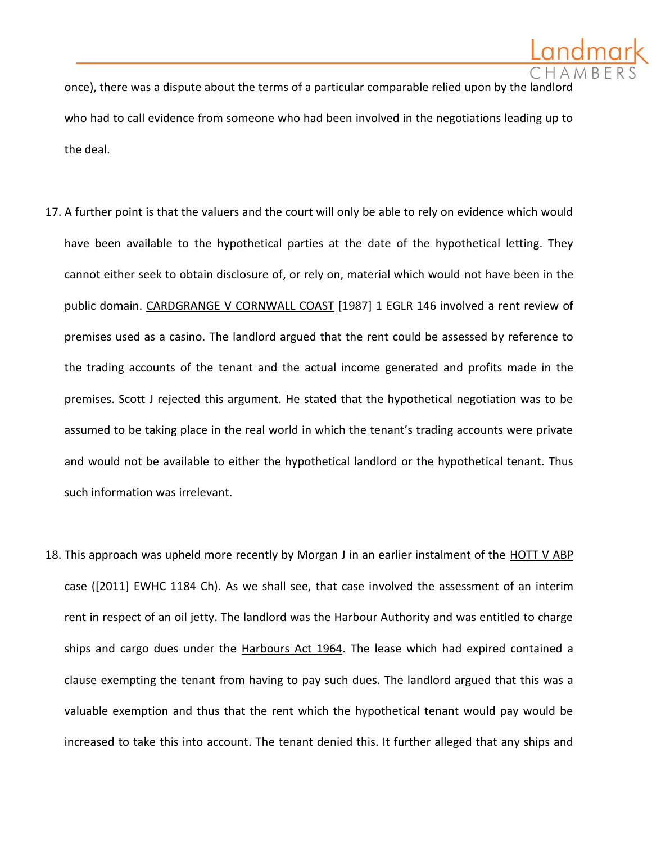once), there was a dispute about the terms of a particular comparable relied upon by the landlord who had to call evidence from someone who had been involved in the negotiations leading up to the deal.

- 17. A further point is that the valuers and the court will only be able to rely on evidence which would have been available to the hypothetical parties at the date of the hypothetical letting. They cannot either seek to obtain disclosure of, or rely on, material which would not have been in the public domain. CARDGRANGE V CORNWALL COAST [1987] 1 EGLR 146 involved a rent review of premises used as a casino. The landlord argued that the rent could be assessed by reference to the trading accounts of the tenant and the actual income generated and profits made in the premises. Scott J rejected this argument. He stated that the hypothetical negotiation was to be assumed to be taking place in the real world in which the tenant's trading accounts were private and would not be available to either the hypothetical landlord or the hypothetical tenant. Thus such information was irrelevant.
- 18. This approach was upheld more recently by Morgan J in an earlier instalment of the HOTT V ABP case ([2011] EWHC 1184 Ch). As we shall see, that case involved the assessment of an interim rent in respect of an oil jetty. The landlord was the Harbour Authority and was entitled to charge ships and cargo dues under the Harbours Act 1964. The lease which had expired contained a clause exempting the tenant from having to pay such dues. The landlord argued that this was a valuable exemption and thus that the rent which the hypothetical tenant would pay would be increased to take this into account. The tenant denied this. It further alleged that any ships and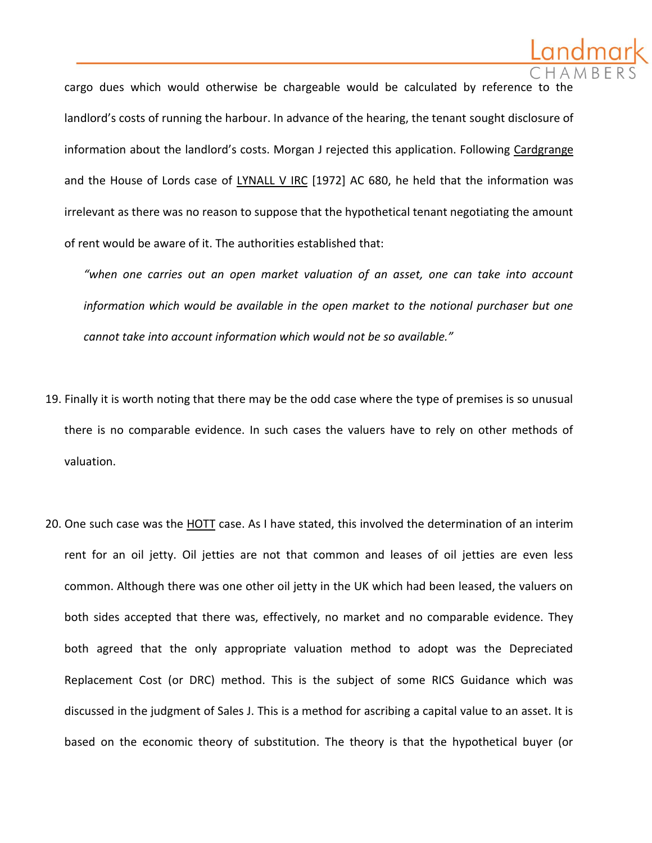

cargo dues which would otherwise be chargeable would be calculated by reference to landlord's costs of running the harbour. In advance of the hearing, the tenant sought disclosure of information about the landlord's costs. Morgan J rejected this application. Following Cardgrange and the House of Lords case of LYNALL V IRC [1972] AC 680, he held that the information was irrelevant as there was no reason to suppose that the hypothetical tenant negotiating the amount of rent would be aware of it. The authorities established that:

*"when one carries out an open market valuation of an asset, one can take into account information which would be available in the open market to the notional purchaser but one cannot take into account information which would not be so available."*

- 19. Finally it is worth noting that there may be the odd case where the type of premises is so unusual there is no comparable evidence. In such cases the valuers have to rely on other methods of valuation.
- 20. One such case was the HOTT case. As I have stated, this involved the determination of an interim rent for an oil jetty. Oil jetties are not that common and leases of oil jetties are even less common. Although there was one other oil jetty in the UK which had been leased, the valuers on both sides accepted that there was, effectively, no market and no comparable evidence. They both agreed that the only appropriate valuation method to adopt was the Depreciated Replacement Cost (or DRC) method. This is the subject of some RICS Guidance which was discussed in the judgment of Sales J. This is a method for ascribing a capital value to an asset. It is based on the economic theory of substitution. The theory is that the hypothetical buyer (or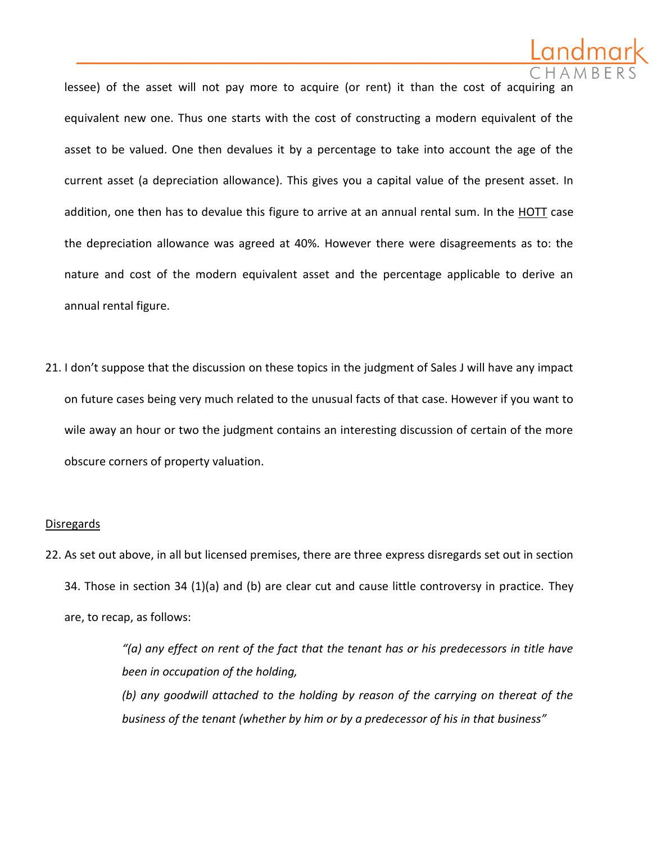lessee) of the asset will not pay more to acquire (or rent) it than the cost of acquiring ar equivalent new one. Thus one starts with the cost of constructing a modern equivalent of the asset to be valued. One then devalues it by a percentage to take into account the age of the current asset (a depreciation allowance). This gives you a capital value of the present asset. In addition, one then has to devalue this figure to arrive at an annual rental sum. In the HOTT case the depreciation allowance was agreed at 40%. However there were disagreements as to: the nature and cost of the modern equivalent asset and the percentage applicable to derive an annual rental figure.

21. I don't suppose that the discussion on these topics in the judgment of Sales J will have any impact on future cases being very much related to the unusual facts of that case. However if you want to wile away an hour or two the judgment contains an interesting discussion of certain of the more obscure corners of property valuation.

#### Disregards

22. As set out above, in all but licensed premises, there are three express disregards set out in section 34. Those in section 34 (1)(a) and (b) are clear cut and cause little controversy in practice. They are, to recap, as follows:

> *"(a) any effect on rent of the fact that the tenant has or his predecessors in title have been in occupation of the holding,*

> *(b) any goodwill attached to the holding by reason of the carrying on thereat of the business of the tenant (whether by him or by a predecessor of his in that business"*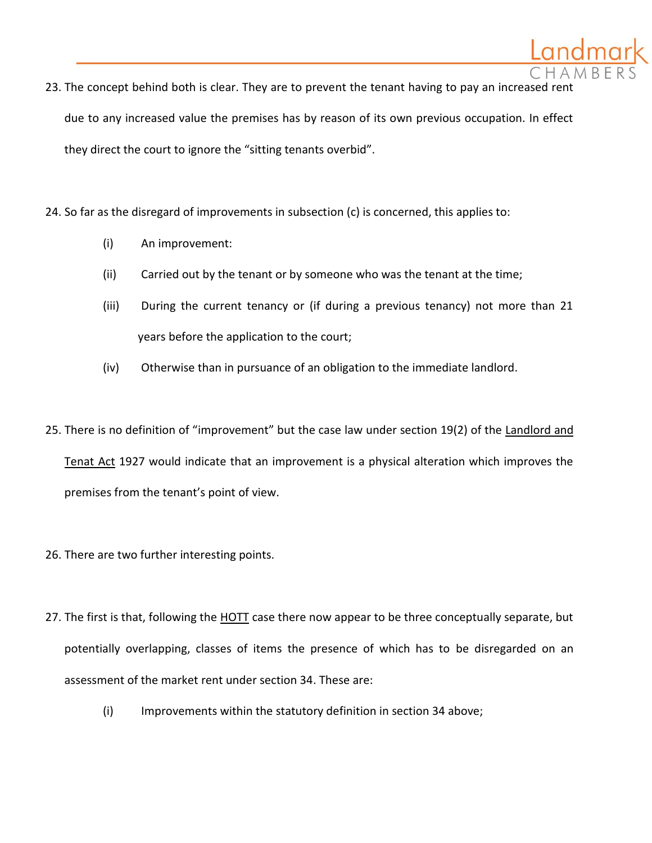

24. So far as the disregard of improvements in subsection (c) is concerned, this applies to:

- (i) An improvement:
- (ii) Carried out by the tenant or by someone who was the tenant at the time;
- (iii) During the current tenancy or (if during a previous tenancy) not more than 21 years before the application to the court;
- (iv) Otherwise than in pursuance of an obligation to the immediate landlord.
- 25. There is no definition of "improvement" but the case law under section 19(2) of the Landlord and

Tenat Act 1927 would indicate that an improvement is a physical alteration which improves the premises from the tenant's point of view.

- 26. There are two further interesting points.
- 27. The first is that, following the **HOTT** case there now appear to be three conceptually separate, but potentially overlapping, classes of items the presence of which has to be disregarded on an assessment of the market rent under section 34. These are:
	- (i) Improvements within the statutory definition in section 34 above;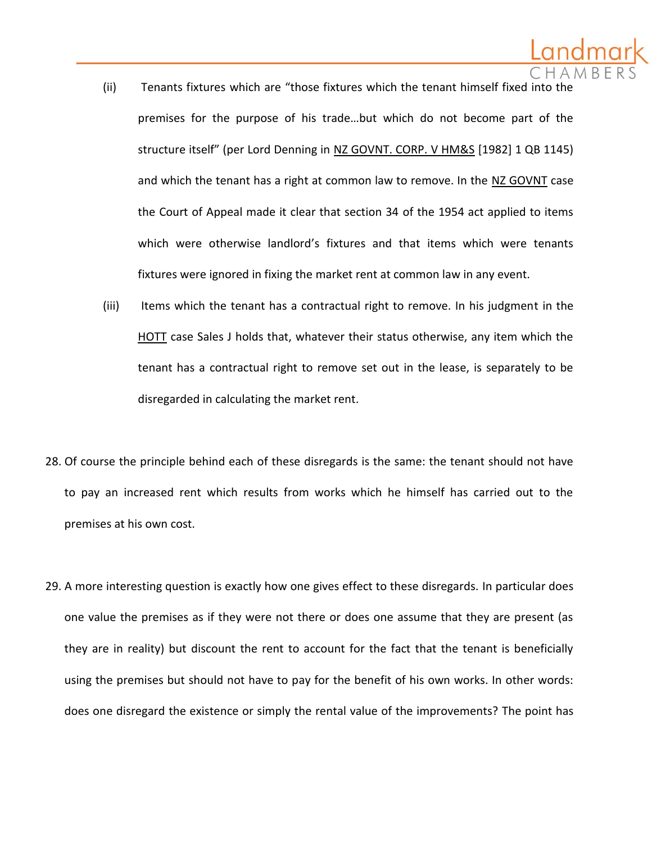- (ii) Tenants fixtures which are "those fixtures which the tenant himself fixed into the premises for the purpose of his trade…but which do not become part of the structure itself" (per Lord Denning in NZ GOVNT. CORP. V HM&S [1982] 1 QB 1145) and which the tenant has a right at common law to remove. In the NZ GOVNT case the Court of Appeal made it clear that section 34 of the 1954 act applied to items which were otherwise landlord's fixtures and that items which were tenants fixtures were ignored in fixing the market rent at common law in any event.
- (iii) Items which the tenant has a contractual right to remove. In his judgment in the HOTT case Sales J holds that, whatever their status otherwise, any item which the tenant has a contractual right to remove set out in the lease, is separately to be disregarded in calculating the market rent.
- 28. Of course the principle behind each of these disregards is the same: the tenant should not have to pay an increased rent which results from works which he himself has carried out to the premises at his own cost.
- 29. A more interesting question is exactly how one gives effect to these disregards. In particular does one value the premises as if they were not there or does one assume that they are present (as they are in reality) but discount the rent to account for the fact that the tenant is beneficially using the premises but should not have to pay for the benefit of his own works. In other words: does one disregard the existence or simply the rental value of the improvements? The point has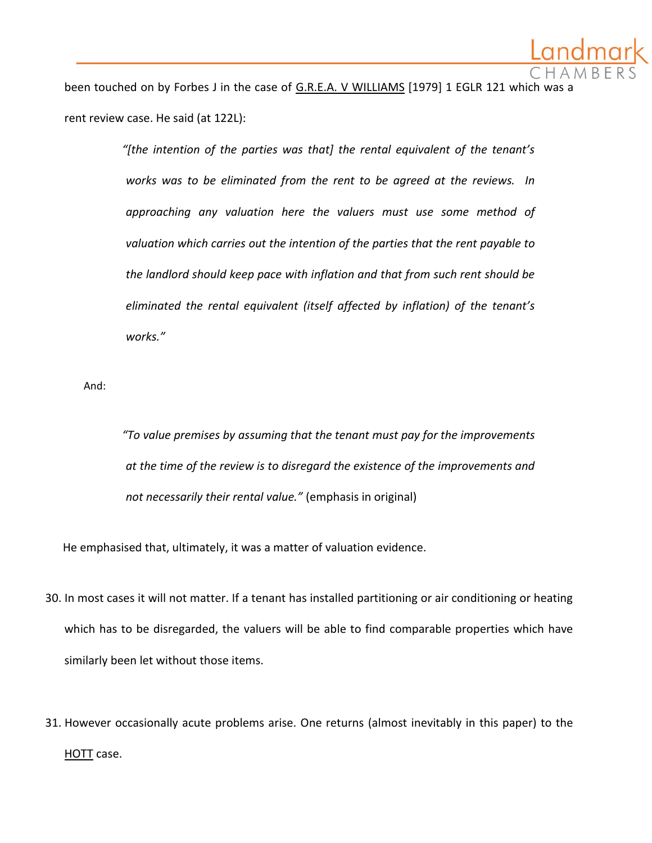been touched on by Forbes J in the case of G.R.E.A. V WILLIAMS [1979] 1 EGLR 121 which was rent review case. He said (at 122L):

> *"[the intention of the parties was that] the rental equivalent of the tenant's works was to be eliminated from the rent to be agreed at the reviews. In approaching any valuation here the valuers must use some method of valuation which carries out the intention of the parties that the rent payable to the landlord should keep pace with inflation and that from such rent should be eliminated the rental equivalent (itself affected by inflation) of the tenant's works."*

And:

*"To value premises by assuming that the tenant must pay for the improvements at the time of the review is to disregard the existence of the improvements and not necessarily their rental value."* (emphasis in original)

He emphasised that, ultimately, it was a matter of valuation evidence.

- 30. In most cases it will not matter. If a tenant has installed partitioning or air conditioning or heating which has to be disregarded, the valuers will be able to find comparable properties which have similarly been let without those items.
- 31. However occasionally acute problems arise. One returns (almost inevitably in this paper) to the HOTT case.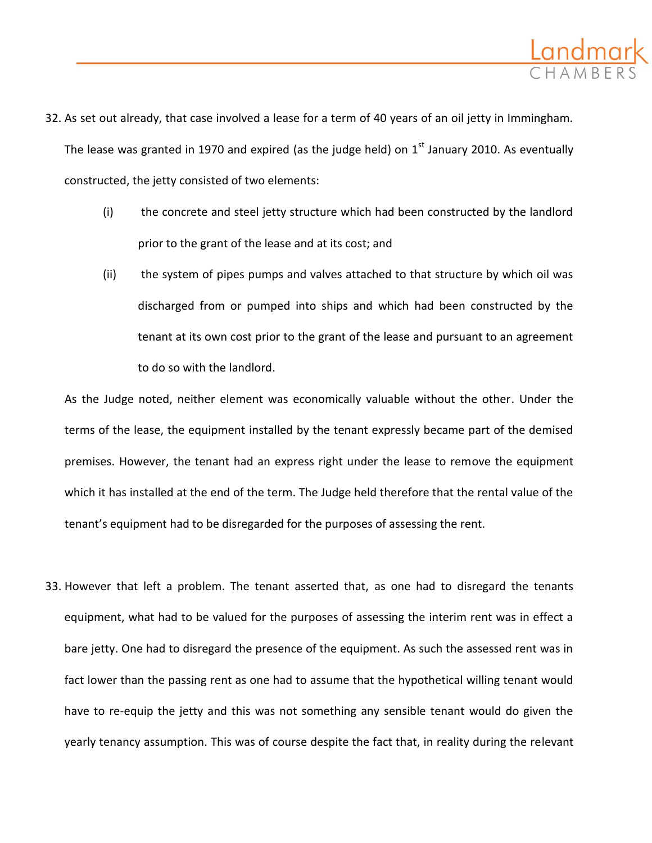

- 32. As set out already, that case involved a lease for a term of 40 years of an oil jetty in Immingham. The lease was granted in 1970 and expired (as the judge held) on  $1<sup>st</sup>$  January 2010. As eventually constructed, the jetty consisted of two elements:
	- (i) the concrete and steel jetty structure which had been constructed by the landlord prior to the grant of the lease and at its cost; and
	- (ii) the system of pipes pumps and valves attached to that structure by which oil was discharged from or pumped into ships and which had been constructed by the tenant at its own cost prior to the grant of the lease and pursuant to an agreement to do so with the landlord.

As the Judge noted, neither element was economically valuable without the other. Under the terms of the lease, the equipment installed by the tenant expressly became part of the demised premises. However, the tenant had an express right under the lease to remove the equipment which it has installed at the end of the term. The Judge held therefore that the rental value of the tenant's equipment had to be disregarded for the purposes of assessing the rent.

33. However that left a problem. The tenant asserted that, as one had to disregard the tenants equipment, what had to be valued for the purposes of assessing the interim rent was in effect a bare jetty. One had to disregard the presence of the equipment. As such the assessed rent was in fact lower than the passing rent as one had to assume that the hypothetical willing tenant would have to re-equip the jetty and this was not something any sensible tenant would do given the yearly tenancy assumption. This was of course despite the fact that, in reality during the relevant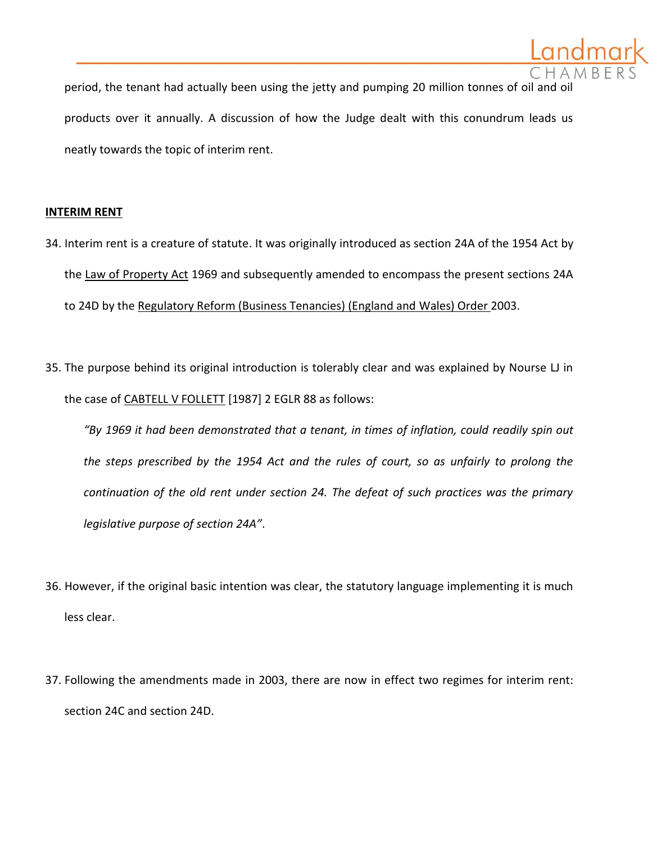

#### **INTERIM RENT**

- 34. Interim rent is a creature of statute. It was originally introduced as section 24A of the 1954 Act by the Law of Property Act 1969 and subsequently amended to encompass the present sections 24A to 24D by the Regulatory Reform (Business Tenancies) (England and Wales) Order 2003.
- 35. The purpose behind its original introduction is tolerably clear and was explained by Nourse LJ in the case of CABTELL V FOLLETT [1987] 2 EGLR 88 as follows:

*"By 1969 it had been demonstrated that a tenant, in times of inflation, could readily spin out the steps prescribed by the 1954 Act and the rules of court, so as unfairly to prolong the continuation of the old rent under section 24. The defeat of such practices was the primary legislative purpose of section 24A"*.

- 36. However, if the original basic intention was clear, the statutory language implementing it is much less clear.
- 37. Following the amendments made in 2003, there are now in effect two regimes for interim rent: section 24C and section 24D.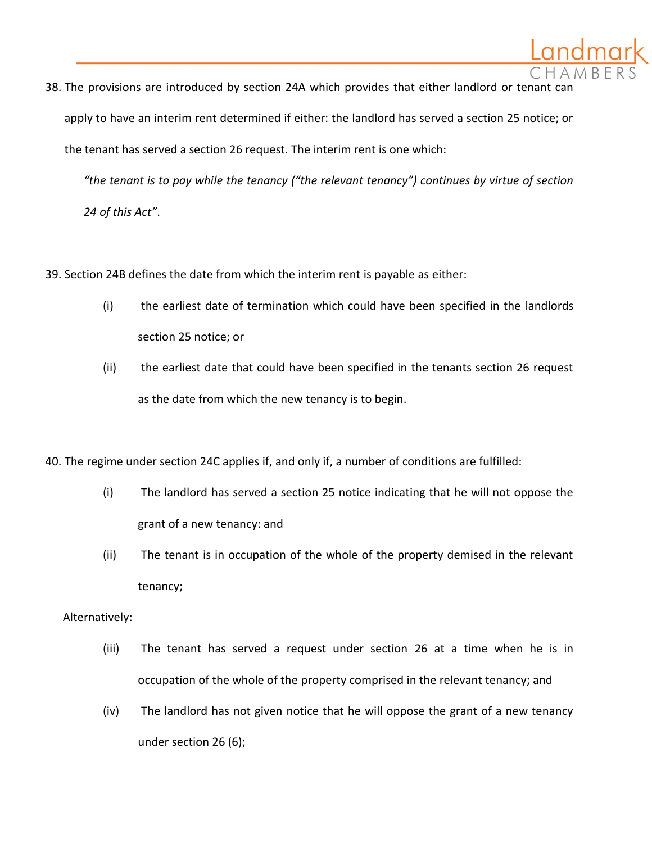

*"the tenant is to pay while the tenancy ("the relevant tenancy") continues by virtue of section 24 of this Act"*.

39. Section 24B defines the date from which the interim rent is payable as either:

- (i) the earliest date of termination which could have been specified in the landlords section 25 notice; or
- (ii) the earliest date that could have been specified in the tenants section 26 request as the date from which the new tenancy is to begin.

40. The regime under section 24C applies if, and only if, a number of conditions are fulfilled:

- (i) The landlord has served a section 25 notice indicating that he will not oppose the grant of a new tenancy: and
- (ii) The tenant is in occupation of the whole of the property demised in the relevant tenancy;

# Alternatively:

- (iii) The tenant has served a request under section 26 at a time when he is in occupation of the whole of the property comprised in the relevant tenancy; and
- (iv) The landlord has not given notice that he will oppose the grant of a new tenancy under section 26 (6);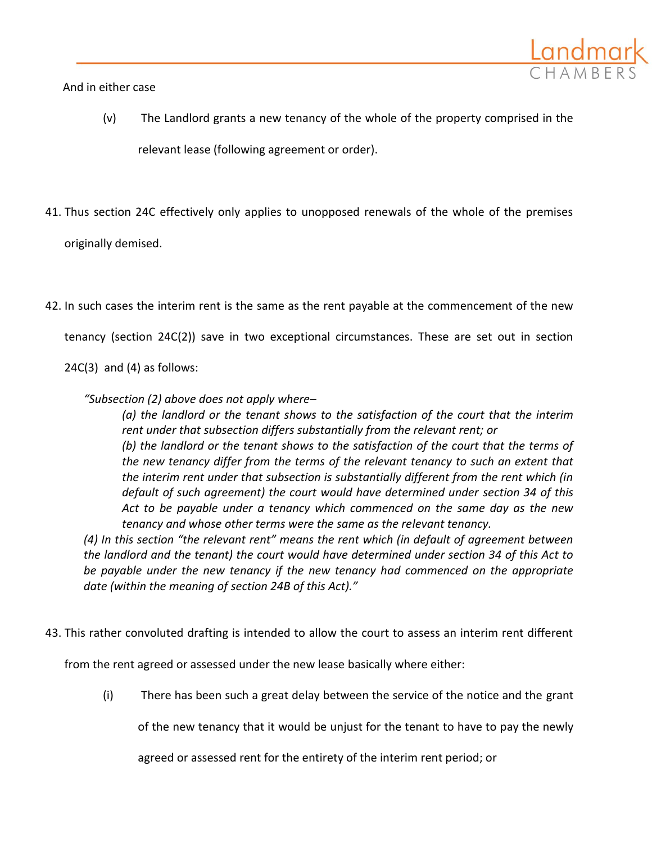And in either case

- (v) The Landlord grants a new tenancy of the whole of the property comprised in the relevant lease (following agreement or order).
- 41. Thus section 24C effectively only applies to unopposed renewals of the whole of the premises originally demised.
- 42. In such cases the interim rent is the same as the rent payable at the commencement of the new tenancy (section 24C(2)) save in two exceptional circumstances. These are set out in section  $24C(3)$  and  $(4)$  as follows:
	- *"Subsection (2) above does not apply where–*

*(a) the landlord or the tenant shows to the satisfaction of the court that the interim rent under that subsection differs substantially from the relevant rent; or (b) the landlord or the tenant shows to the satisfaction of the court that the terms of the new tenancy differ from the terms of the relevant tenancy to such an extent that the interim rent under that subsection is substantially different from the rent which (in default of such agreement) the court would have determined under [section 34](http://login.westlaw.co.uk/maf/wluk/app/document?src=doc&linktype=ref&&context=5&crumb-action=replace&docguid=I6A357F00E44811DA8D70A0E70A78ED65) of this Act to be payable under a tenancy which commenced on the same day as the new tenancy and whose other terms were the same as the relevant tenancy.*

*(4) In this section "the relevant rent" means the rent which (in default of agreement between the landlord and the tenant) the court would have determined under section 34 of this Act to be payable under the new tenancy if the new tenancy had commenced on the appropriate date (within the meaning of [section 24B](http://login.westlaw.co.uk/maf/wluk/app/document?src=doc&linktype=ref&&context=5&crumb-action=replace&docguid=I6A26D900E44811DA8D70A0E70A78ED65) of this Act)."*

43. This rather convoluted drafting is intended to allow the court to assess an interim rent different

from the rent agreed or assessed under the new lease basically where either:

(i) There has been such a great delay between the service of the notice and the grant

of the new tenancy that it would be unjust for the tenant to have to pay the newly

agreed or assessed rent for the entirety of the interim rent period; or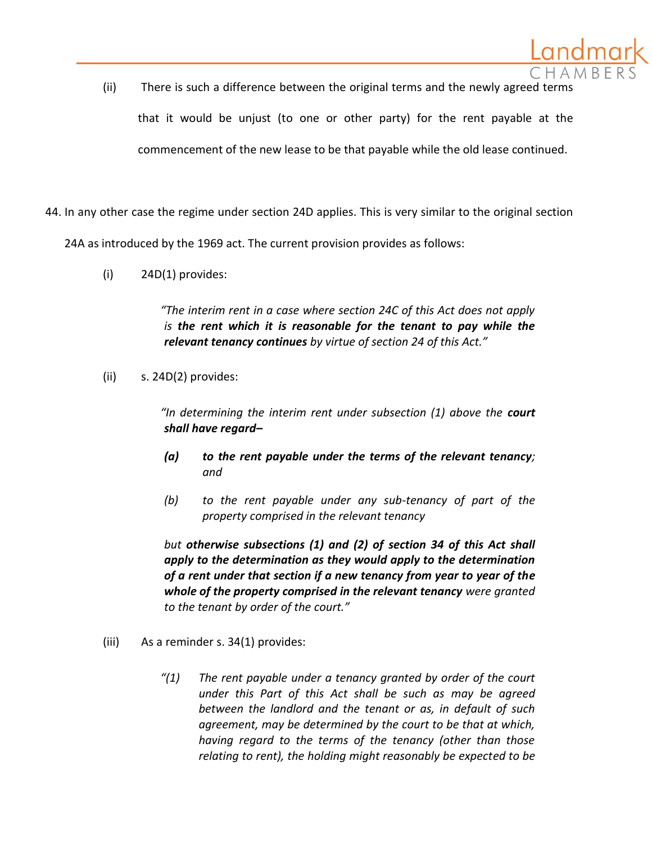- (ii) There is such a difference between the original terms and the newly agreed terms that it would be unjust (to one or other party) for the rent payable at the commencement of the new lease to be that payable while the old lease continued.
- 44. In any other case the regime under section 24D applies. This is very similar to the original section

24A as introduced by the 1969 act. The current provision provides as follows:

(i) 24D(1) provides:

*"The interim rent in a case where section 24C of this Act does not apply is the rent which it is reasonable for the tenant to pay while the relevant tenancy continues by virtue of section 24 of this Act."* 

(ii) s. 24D(2) provides:

*"In determining the interim rent under subsection (1) above the court shall have regard–*

- *(a) to the rent payable under the terms of the relevant tenancy; and*
- *(b) to the rent payable under any sub-tenancy of part of the property comprised in the relevant tenancy*

*but otherwise subsections (1) and (2) of section 34 of this Act shall apply to the determination as they would apply to the determination of a rent under that section if a new tenancy from year to year of the whole of the property comprised in the relevant tenancy were granted to the tenant by order of the court."*

- (iii) As a reminder s. 34(1) provides:
	- *"(1) The rent payable under a tenancy granted by order of the court under this Part of this Act shall be such as may be agreed between the landlord and the tenant or as, in default of such agreement, may be determined by the court to be that at which, having regard to the terms of the tenancy (other than those relating to rent), the holding might reasonably be expected to be*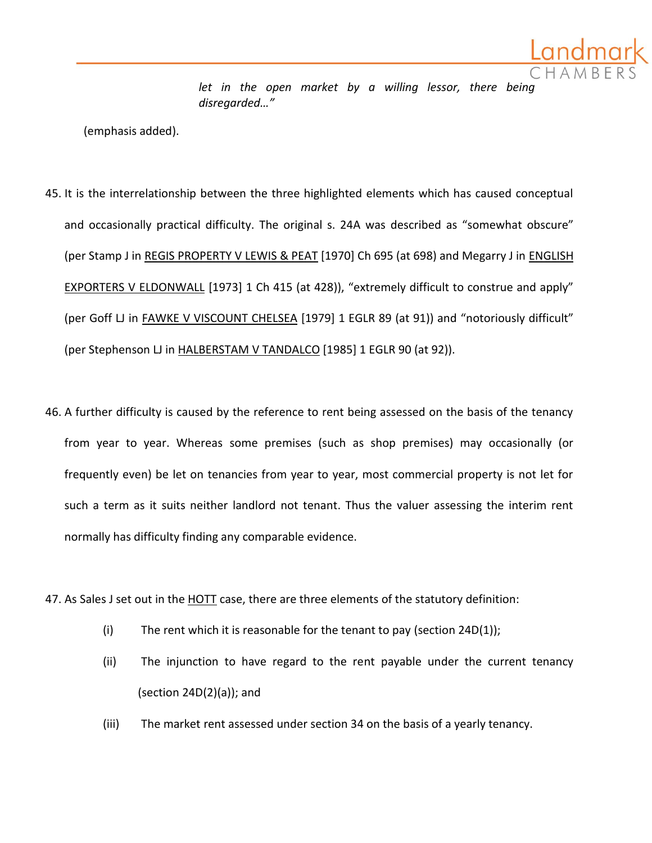let in the open market by a willing lessor, there being *disregarded…"*

(emphasis added).

- 45. It is the interrelationship between the three highlighted elements which has caused conceptual and occasionally practical difficulty. The original s. 24A was described as "somewhat obscure" (per Stamp J in REGIS PROPERTY V LEWIS & PEAT [1970] Ch 695 (at 698) and Megarry J in ENGLISH EXPORTERS V ELDONWALL [1973] 1 Ch 415 (at 428)), "extremely difficult to construe and apply" (per Goff LJ in FAWKE V VISCOUNT CHELSEA [1979] 1 EGLR 89 (at 91)) and "notoriously difficult" (per Stephenson LJ in HALBERSTAM V TANDALCO [1985] 1 EGLR 90 (at 92)).
- 46. A further difficulty is caused by the reference to rent being assessed on the basis of the tenancy from year to year. Whereas some premises (such as shop premises) may occasionally (or frequently even) be let on tenancies from year to year, most commercial property is not let for such a term as it suits neither landlord not tenant. Thus the valuer assessing the interim rent normally has difficulty finding any comparable evidence.

47. As Sales J set out in the HOTT case, there are three elements of the statutory definition:

- (i) The rent which it is reasonable for the tenant to pay (section  $24D(1)$ );
- (ii) The injunction to have regard to the rent payable under the current tenancy (section 24D(2)(a)); and
- (iii) The market rent assessed under section 34 on the basis of a yearly tenancy.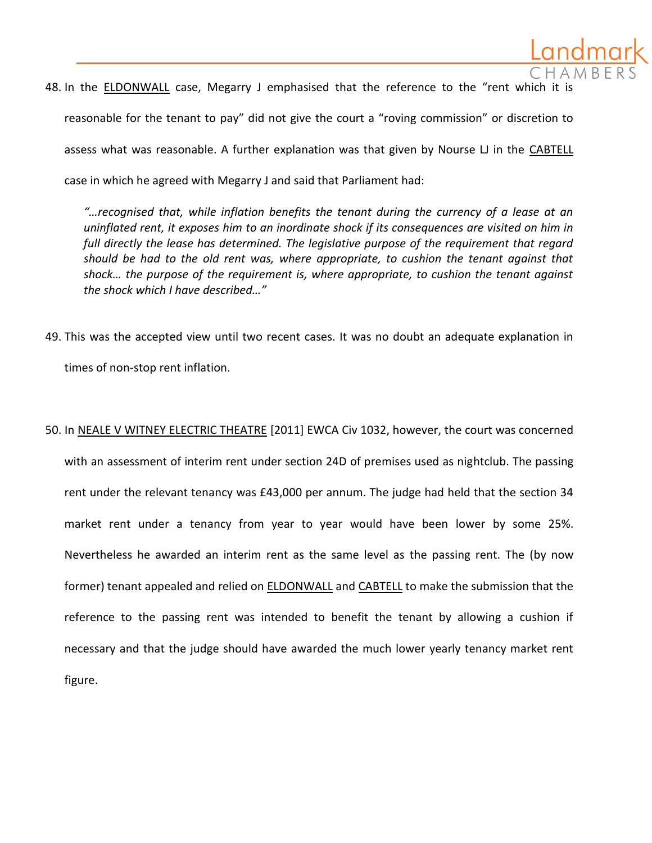

*"…recognised that, while inflation benefits the tenant during the currency of a lease at an uninflated rent, it exposes him to an inordinate shock if its consequences are visited on him in full directly the lease has determined. The legislative purpose of the requirement that regard should be had to the old rent was, where appropriate, to cushion the tenant against that shock… the purpose of the requirement is, where appropriate, to cushion the tenant against the shock which I have described…"*

- 49. This was the accepted view until two recent cases. It was no doubt an adequate explanation in times of non-stop rent inflation.
- 50. In NEALE V WITNEY ELECTRIC THEATRE [2011] EWCA Civ 1032, however, the court was concerned with an assessment of interim rent under section 24D of premises used as nightclub. The passing rent under the relevant tenancy was £43,000 per annum. The judge had held that the section 34 market rent under a tenancy from year to year would have been lower by some 25%. Nevertheless he awarded an interim rent as the same level as the passing rent. The (by now former) tenant appealed and relied on ELDONWALL and CABTELL to make the submission that the reference to the passing rent was intended to benefit the tenant by allowing a cushion if necessary and that the judge should have awarded the much lower yearly tenancy market rent figure.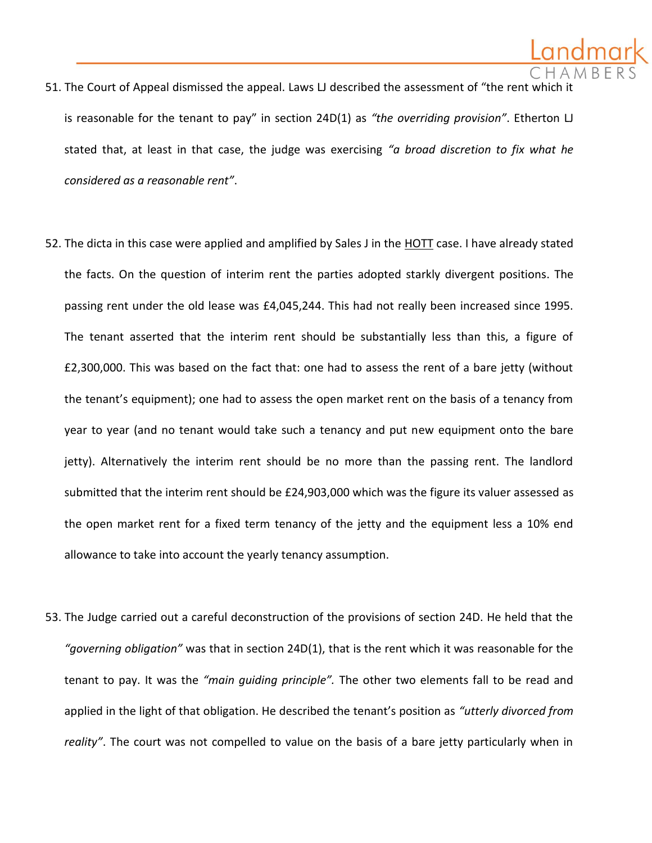- 51. The Court of Appeal dismissed the appeal. Laws LJ described the assessment of "the rent which is reasonable for the tenant to pay" in section 24D(1) as *"the overriding provision"*. Etherton LJ stated that, at least in that case, the judge was exercising *"a broad discretion to fix what he considered as a reasonable rent"*.
- 52. The dicta in this case were applied and amplified by Sales J in the HOTT case. I have already stated the facts. On the question of interim rent the parties adopted starkly divergent positions. The passing rent under the old lease was £4,045,244. This had not really been increased since 1995. The tenant asserted that the interim rent should be substantially less than this, a figure of £2,300,000. This was based on the fact that: one had to assess the rent of a bare jetty (without the tenant's equipment); one had to assess the open market rent on the basis of a tenancy from year to year (and no tenant would take such a tenancy and put new equipment onto the bare jetty). Alternatively the interim rent should be no more than the passing rent. The landlord submitted that the interim rent should be £24,903,000 which was the figure its valuer assessed as the open market rent for a fixed term tenancy of the jetty and the equipment less a 10% end allowance to take into account the yearly tenancy assumption.
- 53. The Judge carried out a careful deconstruction of the provisions of section 24D. He held that the *"governing obligation"* was that in section 24D(1), that is the rent which it was reasonable for the tenant to pay. It was the *"main guiding principle".* The other two elements fall to be read and applied in the light of that obligation. He described the tenant's position as *"utterly divorced from reality"*. The court was not compelled to value on the basis of a bare jetty particularly when in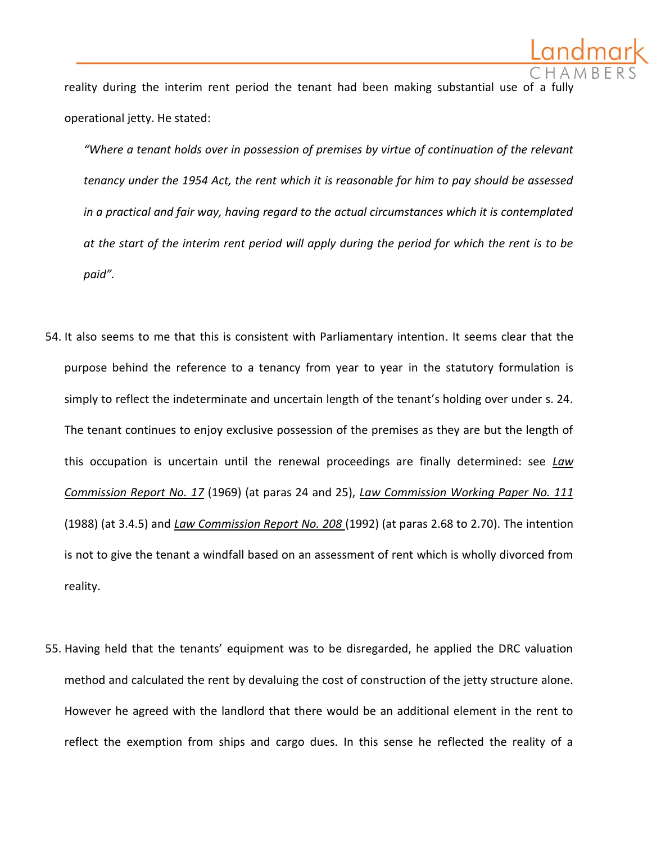

reality during the interim rent period the tenant had been making substantial use of a full operational jetty. He stated:

*"Where a tenant holds over in possession of premises by virtue of continuation of the relevant tenancy under the 1954 Act, the rent which it is reasonable for him to pay should be assessed in a practical and fair way, having regard to the actual circumstances which it is contemplated at the start of the interim rent period will apply during the period for which the rent is to be paid".*

- 54. It also seems to me that this is consistent with Parliamentary intention. It seems clear that the purpose behind the reference to a tenancy from year to year in the statutory formulation is simply to reflect the indeterminate and uncertain length of the tenant's holding over under s. 24. The tenant continues to enjoy exclusive possession of the premises as they are but the length of this occupation is uncertain until the renewal proceedings are finally determined: see *Law Commission Report No. 17* (1969) (at paras 24 and 25), *Law Commission Working Paper No. 111* (1988) (at 3.4.5) and *Law Commission Report No. 208* (1992) (at paras 2.68 to 2.70). The intention is not to give the tenant a windfall based on an assessment of rent which is wholly divorced from reality.
- 55. Having held that the tenants' equipment was to be disregarded, he applied the DRC valuation method and calculated the rent by devaluing the cost of construction of the jetty structure alone. However he agreed with the landlord that there would be an additional element in the rent to reflect the exemption from ships and cargo dues. In this sense he reflected the reality of a